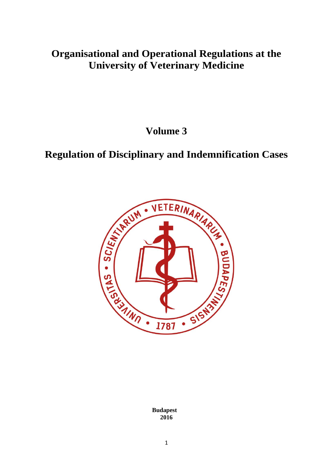# **Organisational and Operational Regulations at the University of Veterinary Medicine**

**Volume 3**

# **Regulation of Disciplinary and Indemnification Cases**



**Budapest 2016**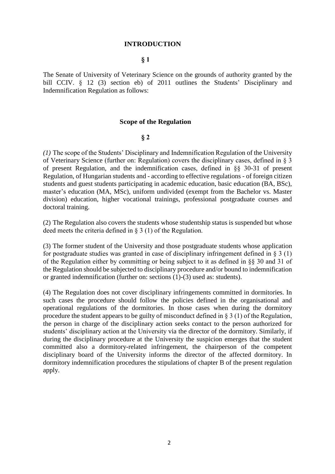#### **INTRODUCTION**

# **§ 1**

The Senate of University of Veterinary Science on the grounds of authority granted by the bill CCIV. § 12 (3) section eb) of 2011 outlines the Students' Disciplinary and Indemnification Regulation as follows:

#### **Scope of the Regulation**

#### **§ 2**

*(1)* The scope of the Students' Disciplinary and Indemnification Regulation of the University of Veterinary Science (further on: Regulation) covers the disciplinary cases, defined in § 3 of present Regulation, and the indemnification cases, defined in §§ 30-31 of present Regulation, of Hungarian students and - according to effective regulations - of foreign citizen students and guest students participating in academic education, basic education (BA, BSc), master's education (MA, MSc), uniform undivided (exempt from the Bachelor vs. Master division) education, higher vocational trainings, professional postgraduate courses and doctoral training.

(2) The Regulation also covers the students whose studentship status is suspended but whose deed meets the criteria defined in § 3 (1) of the Regulation.

(3) The former student of the University and those postgraduate students whose application for postgraduate studies was granted in case of disciplinary infringement defined in  $\S 3(1)$ of the Regulation either by committing or being subject to it as defined in §§ 30 and 31 of the Regulation should be subjected to disciplinary procedure and/or bound to indemnification or granted indemnification (further on: sections (1)-(3) used as: students).

(4) The Regulation does not cover disciplinary infringements committed in dormitories. In such cases the procedure should follow the policies defined in the organisational and operational regulations of the dormitories. In those cases when during the dormitory procedure the student appears to be guilty of misconduct defined in § 3 (1) of the Regulation, the person in charge of the disciplinary action seeks contact to the person authorized for students' disciplinary action at the University via the director of the dormitory. Similarly, if during the disciplinary procedure at the University the suspicion emerges that the student committed also a dormitory-related infringement, the chairperson of the competent disciplinary board of the University informs the director of the affected dormitory. In dormitory indemnification procedures the stipulations of chapter B of the present regulation apply.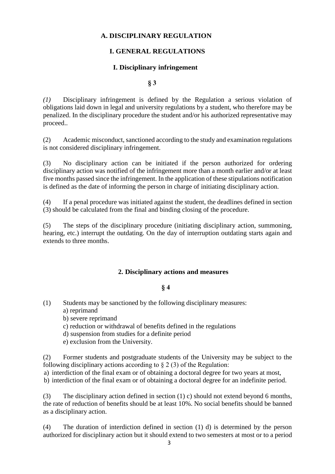## **A. DISCIPLINARY REGULATION**

# **I. GENERAL REGULATIONS**

#### **I. Disciplinary infringement**

#### **§ 3**

*(1)* Disciplinary infringement is defined by the Regulation a serious violation of obligations laid down in legal and university regulations by a student, who therefore may be penalized. In the disciplinary procedure the student and/or his authorized representative may proceed..

(2) Academic misconduct, sanctioned according to the study and examination regulations is not considered disciplinary infringement.

(3) No disciplinary action can be initiated if the person authorized for ordering disciplinary action was notified of the infringement more than a month earlier and/or at least five months passed since the infringement. In the application of these stipulations notification is defined as the date of informing the person in charge of initiating disciplinary action.

(4) If a penal procedure was initiated against the student, the deadlines defined in section (3) should be calculated from the final and binding closing of the procedure.

(5) The steps of the disciplinary procedure (initiating disciplinary action, summoning, hearing, etc.) interrupt the outdating. On the day of interruption outdating starts again and extends to three months.

#### **2. Disciplinary actions and measures**

#### **§ 4**

- (1) Students may be sanctioned by the following disciplinary measures: a) reprimand
	- b) severe reprimand
	- c) reduction or withdrawal of benefits defined in the regulations
	- d) suspension from studies for a definite period
	- e) exclusion from the University.

(2) Former students and postgraduate students of the University may be subject to the following disciplinary actions according to  $\S 2(3)$  of the Regulation:

a) interdiction of the final exam or of obtaining a doctoral degree for two years at most,

b) interdiction of the final exam or of obtaining a doctoral degree for an indefinite period.

(3) The disciplinary action defined in section (1) c) should not extend beyond 6 months, the rate of reduction of benefits should be at least 10%. No social benefits should be banned as a disciplinary action.

(4) The duration of interdiction defined in section (1) d) is determined by the person authorized for disciplinary action but it should extend to two semesters at most or to a period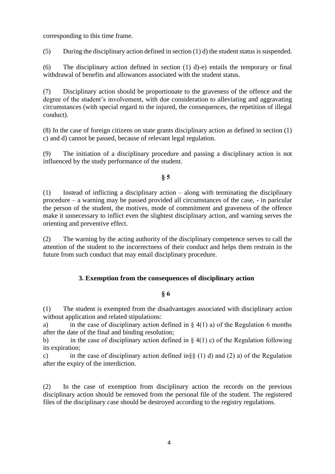corresponding to this time frame.

(5) During the disciplinary action defined in section  $(1)$  d) the student status is suspended.

(6) The disciplinary action defined in section (1) d)-e) entails the temporary or final withdrawal of benefits and allowances associated with the student status.

(7) Disciplinary action should be proportionate to the graveness of the offence and the degree of the student's involvement, with due consideration to alleviating and aggravating circumstances (with special regard to the injured, the consequences, the repetition of illegal conduct).

(8) In the case of foreign citizens on state grants disciplinary action as defined in section (1) c) and d) cannot be passed, because of relevant legal regulation.

(9) The initiation of a disciplinary procedure and passing a disciplinary action is not influenced by the study performance of the student.

# **§ 5**

(1) Instead of inflicting a disciplinary action – along with terminating the disciplinary procedure – a warning may be passed provided all circumstances of the case, - in paricular the person of the student, the motives, mode of commitment and graveness of the offence make it unnecessary to inflict even the slightest disciplinary action, and warning serves the orienting and preventive effect.

(2) The warning by the acting authority of the disciplinary competence serves to call the attention of the student to the incorrectness of their conduct and helps them restrain in the future from such conduct that may entail disciplinary procedure.

# **3. Exemption from the consequences of disciplinary action**

# **§ 6**

(1) The student is exempted from the disadvantages associated with disciplinary action without application and related stipulations:

a) in the case of disciplinary action defined in  $\S$  4(1) a) of the Regulation 6 months after the date of the final and binding resolution;

b) in the case of disciplinary action defined in  $\S$  4(1) c) of the Regulation following its expiration;

c) in the case of disciplinary action defined in§§ (1) d) and (2) a) of the Regulation after the expiry of the interdiction.

(2) In the case of exemption from disciplinary action the records on the previous disciplinary action should be removed from the personal file of the student. The registered files of the disciplinary case should be destroyed according to the registry regulations.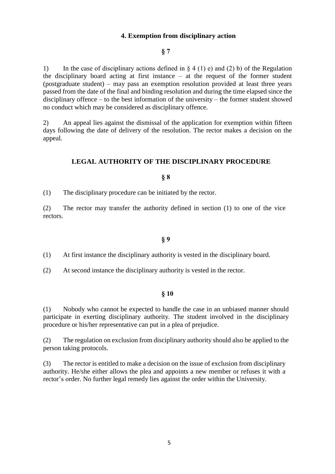## **4. Exemption from disciplinary action**

# **§ 7**

1) In the case of disciplinary actions defined in  $\S 4 (1) e$  and (2) b) of the Regulation the disciplinary board acting at first instance – at the request of the former student (postgraduate student) – may pass an exemption resolution provided at least three years passed from the date of the final and binding resolution and during the time elapsed since the disciplinary offence – to the best information of the university – the former student showed no conduct which may be considered as disciplinary offence.

2) An appeal lies against the dismissal of the application for exemption within fifteen days following the date of delivery of the resolution. The rector makes a decision on the appeal.

#### **LEGAL AUTHORITY OF THE DISCIPLINARY PROCEDURE**

#### **§ 8**

(1) The disciplinary procedure can be initiated by the rector.

(2) The rector may transfer the authority defined in section (1) to one of the vice rectors.

#### **§ 9**

(1) At first instance the disciplinary authority is vested in the disciplinary board.

(2) At second instance the disciplinary authority is vested in the rector.

## **§ 10**

(1) Nobody who cannot be expected to handle the case in an unbiased manner should participate in exerting disciplinary authority. The student involved in the disciplinary procedure or his/her representative can put in a plea of prejudice.

(2) The regulation on exclusion from disciplinary authority should also be applied to the person taking protocols.

(3) The rector is entitled to make a decision on the issue of exclusion from disciplinary authority. He/she either allows the plea and appoints a new member or refuses it with a rector's order. No further legal remedy lies against the order within the University.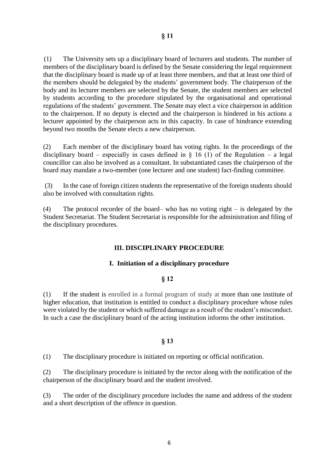(1) The University sets up a disciplinary board of lecturers and students. The number of members of the disciplinary board is defined by the Senate considering the legal requirement that the disciplinary board is made up of at least three members, and that at least one third of the members should be delegated by the students' government body. The chairperson of the body and its lecturer members are selected by the Senate, the student members are selected by students according to the procedure stipulated by the organisational and operational regulations of the students' government. The Senate may elect a vice chairperson in addition to the chairperson. If no deputy is elected and the chairperson is hindered in his actions a lecturer appointed by the chairperson acts in this capacity. In case of hindrance extending

(2) Each member of the disciplinary board has voting rights. In the proceedings of the disciplinary board – especially in cases defined in  $\S$  16 (1) of the Regulation – a legal councillor can also be involved as a consultant. In substantiated cases the chairperson of the board may mandate a two-member (one lecturer and one student) fact-finding committee.

beyond two months the Senate elects a new chairperson.

(3) In the case of foreign citizen students the representative of the foreign students should also be involved with consultation rights.

(4) The protocol recorder of the board– who has no voting right – is delegated by the Student Secretariat. The Student Secretariat is responsible for the administration and filing of the disciplinary procedures.

#### **III. DISCIPLINARY PROCEDURE**

#### **I. Initiation of a disciplinary procedure**

#### **§ 12**

(1) If the student is enrolled in a formal program of study at more than one institute of higher education, that institution is entitled to conduct a disciplinary procedure whose rules were violated by the student or which suffered damage as a result of the student's misconduct. In such a case the disciplinary board of the acting institution informs the other institution.

#### **§ 13**

(1) The disciplinary procedure is initiated on reporting or official notification.

(2) The disciplinary procedure is initiated by the rector along with the notification of the chairperson of the disciplinary board and the student involved.

(3) The order of the disciplinary procedure includes the name and address of the student and a short description of the offence in question.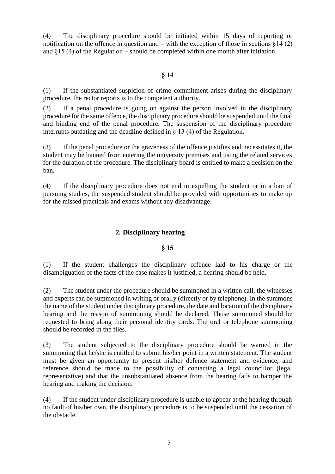(4) The disciplinary procedure should be initiated within 15 days of reporting or notification on the offence in question and – with the exception of those in sections  $\S 14$  (2) and §15 (4) of the Regulation – should be completed within one month after initiation.

#### **§ 14**

(1) If the substantiated suspicion of crime commitment arises during the disciplinary procedure, the rector reports is to the competent authority.

(2) If a penal procedure is going on against the person involved in the disciplinary procedure for the same offence, the disciplinary procedure should be suspended until the final and binding end of the penal procedure. The suspension of the disciplinary procedure interrupts outdating and the deadline defined in § 13 (4) of the Regulation.

(3) If the penal procedure or the graveness of the offence justifies and necessitates it, the student may be banned from entering the university premises and using the related services for the duration of the procedure. The disciplinary board is entitled to make a decision on the ban.

(4) If the disciplinary procedure does not end in expelling the student or in a ban of pursuing studies, the suspended student should be provided with opportunities to make up for the missed practicals and exams without any disadvantage.

## **2. Disciplinary hearing**

#### **§ 15**

(1) If the student challenges the disciplinary offence laid to his charge or the disambiguation of the facts of the case makes it justified, a hearing should be held.

(2) The student under the procedure should be summoned in a written call, the witnesses and experts can be summoned in writing or orally (directly or by telephone). In the summons the name of the student under disciplinary procedure, the date and location of the disciplinary hearing and the reason of summoning should be declared. Those summoned should be requested to bring along their personal identity cards. The oral or telephone summoning should be recorded in the files.

(3) The student subjected to the disciplinary procedure should be warned in the summoning that he/she is entitled to submit his/her point in a written statement. The student must be given an opportunity to present his/her defence statement and evidence, and reference should be made to the possibility of contacting a legal councillor (legal representative) and that the unsubstantiated absence from the hearing fails to hamper the hearing and making the decision.

(4) If the student under disciplinary procedure is unable to appear at the hearing through no fault of his/her own, the disciplinary procedure is to be suspended until the cessation of the obstacle.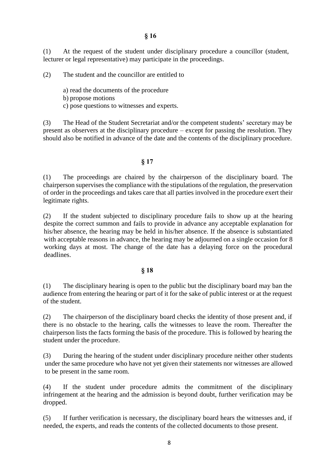(1) At the request of the student under disciplinary procedure a councillor (student, lecturer or legal representative) may participate in the proceedings.

(2) The student and the councillor are entitled to

a) read the documents of the procedure

b) propose motions

c) pose questions to witnesses and experts.

(3) The Head of the Student Secretariat and/or the competent students' secretary may be present as observers at the disciplinary procedure – except for passing the resolution. They should also be notified in advance of the date and the contents of the disciplinary procedure.

## **§ 17**

(1) The proceedings are chaired by the chairperson of the disciplinary board. The chairperson supervises the compliance with the stipulations of the regulation, the preservation of order in the proceedings and takes care that all parties involved in the procedure exert their legitimate rights.

(2) If the student subjected to disciplinary procedure fails to show up at the hearing despite the correct summon and fails to provide in advance any acceptable explanation for his/her absence, the hearing may be held in his/her absence. If the absence is substantiated with acceptable reasons in advance, the hearing may be adjourned on a single occasion for 8 working days at most. The change of the date has a delaying force on the procedural deadlines.

#### **§ 18**

(1) The disciplinary hearing is open to the public but the disciplinary board may ban the audience from entering the hearing or part of it for the sake of public interest or at the request of the student.

(2) The chairperson of the disciplinary board checks the identity of those present and, if there is no obstacle to the hearing, calls the witnesses to leave the room. Thereafter the chairperson lists the facts forming the basis of the procedure. This is followed by hearing the student under the procedure.

(3) During the hearing of the student under disciplinary procedure neither other students under the same procedure who have not yet given their statements nor witnesses are allowed to be present in the same room.

(4) If the student under procedure admits the commitment of the disciplinary infringement at the hearing and the admission is beyond doubt, further verification may be dropped.

(5) If further verification is necessary, the disciplinary board hears the witnesses and, if needed, the experts, and reads the contents of the collected documents to those present.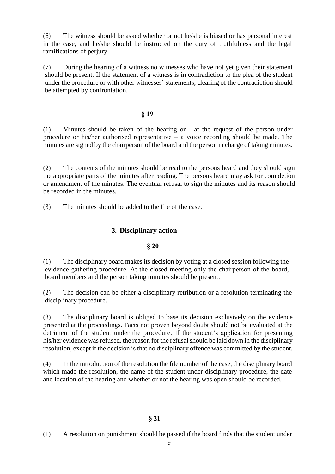(6) The witness should be asked whether or not he/she is biased or has personal interest in the case, and he/she should be instructed on the duty of truthfulness and the legal ramifications of perjury.

(7) During the hearing of a witness no witnesses who have not yet given their statement should be present. If the statement of a witness is in contradiction to the plea of the student under the procedure or with other witnesses' statements, clearing of the contradiction should be attempted by confrontation.

#### **§ 19**

(1) Minutes should be taken of the hearing or - at the request of the person under procedure or his/her authorised representative – a voice recording should be made. The minutes are signed by the chairperson of the board and the person in charge of taking minutes.

(2) The contents of the minutes should be read to the persons heard and they should sign the appropriate parts of the minutes after reading. The persons heard may ask for completion or amendment of the minutes. The eventual refusal to sign the minutes and its reason should be recorded in the minutes.

(3) The minutes should be added to the file of the case.

# **3. Disciplinary action**

#### **§ 20**

(1) The disciplinary board makes its decision by voting at a closed session following the evidence gathering procedure. At the closed meeting only the chairperson of the board, board members and the person taking minutes should be present.

(2) The decision can be either a disciplinary retribution or a resolution terminating the disciplinary procedure.

(3) The disciplinary board is obliged to base its decision exclusively on the evidence presented at the proceedings. Facts not proven beyond doubt should not be evaluated at the detriment of the student under the procedure. If the student's application for presenting his/her evidence was refused, the reason for the refusal should be laid down in the disciplinary resolution, except if the decision is that no disciplinary offence was committed by the student.

(4) In the introduction of the resolution the file number of the case, the disciplinary board which made the resolution, the name of the student under disciplinary procedure, the date and location of the hearing and whether or not the hearing was open should be recorded.

#### **§ 21**

(1) A resolution on punishment should be passed if the board finds that the student under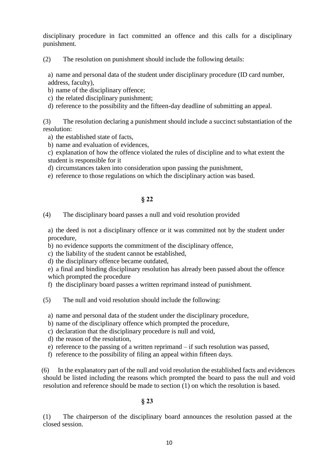disciplinary procedure in fact committed an offence and this calls for a disciplinary punishment.

(2) The resolution on punishment should include the following details:

a) name and personal data of the student under disciplinary procedure (ID card number, address, faculty),

- b) name of the disciplinary offence;
- c) the related disciplinary punishment;
- d) reference to the possibility and the fifteen-day deadline of submitting an appeal.

(3) The resolution declaring a punishment should include a succinct substantiation of the resolution:

- a) the established state of facts,
- b) name and evaluation of evidences,

c) explanation of how the offence violated the rules of discipline and to what extent the student is responsible for it

- d) circumstances taken into consideration upon passing the punishment,
- e) reference to those regulations on which the disciplinary action was based.

## **§ 22**

## (4) The disciplinary board passes a null and void resolution provided

a) the deed is not a disciplinary offence or it was committed not by the student under procedure,

b) no evidence supports the commitment of the disciplinary offence,

c) the liability of the student cannot be established,

d) the disciplinary offence became outdated,

e) a final and binding disciplinary resolution has already been passed about the offence which prompted the procedure

- f) the disciplinary board passes a written reprimand instead of punishment.
- (5) The null and void resolution should include the following:
	- a) name and personal data of the student under the disciplinary procedure,
	- b) name of the disciplinary offence which prompted the procedure,
	- c) declaration that the disciplinary procedure is null and void,
	- d) the reason of the resolution,
	- e) reference to the passing of a written reprimand if such resolution was passed,
	- f) reference to the possibility of filing an appeal within fifteen days.

(6) In the explanatory part of the null and void resolution the established facts and evidences should be listed including the reasons which prompted the board to pass the null and void resolution and reference should be made to section (1) on which the resolution is based.

# **§ 23**

(1) The chairperson of the disciplinary board announces the resolution passed at the closed session.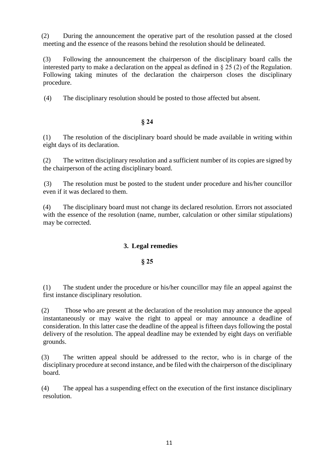(2) During the announcement the operative part of the resolution passed at the closed meeting and the essence of the reasons behind the resolution should be delineated.

(3) Following the announcement the chairperson of the disciplinary board calls the interested party to make a declaration on the appeal as defined in § 25 (2) of the Regulation. Following taking minutes of the declaration the chairperson closes the disciplinary procedure.

(4) The disciplinary resolution should be posted to those affected but absent.

# **§ 24**

(1) The resolution of the disciplinary board should be made available in writing within eight days of its declaration.

(2) The written disciplinary resolution and a sufficient number of its copies are signed by the chairperson of the acting disciplinary board.

(3) The resolution must be posted to the student under procedure and his/her councillor even if it was declared to them.

(4) The disciplinary board must not change its declared resolution. Errors not associated with the essence of the resolution (name, number, calculation or other similar stipulations) may be corrected.

# **3. Legal remedies**

# **§ 25**

(1) The student under the procedure or his/her councillor may file an appeal against the first instance disciplinary resolution.

(2) Those who are present at the declaration of the resolution may announce the appeal instantaneously or may waive the right to appeal or may announce a deadline of consideration. In this latter case the deadline of the appeal is fifteen days following the postal delivery of the resolution. The appeal deadline may be extended by eight days on verifiable grounds.

(3) The written appeal should be addressed to the rector, who is in charge of the disciplinary procedure at second instance, and be filed with the chairperson of the disciplinary board.

(4) The appeal has a suspending effect on the execution of the first instance disciplinary resolution.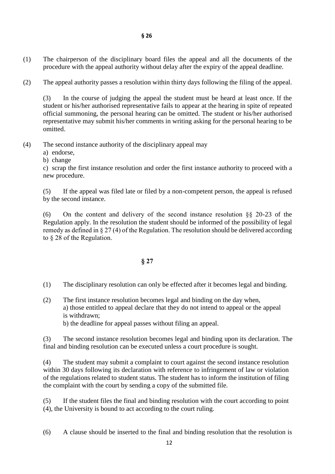- **§ 26**
- (1) The chairperson of the disciplinary board files the appeal and all the documents of the procedure with the appeal authority without delay after the expiry of the appeal deadline.
- (2) The appeal authority passes a resolution within thirty days following the filing of the appeal.

(3) In the course of judging the appeal the student must be heard at least once. If the student or his/her authorised representative fails to appear at the hearing in spite of repeated official summoning, the personal hearing can be omitted. The student or his/her authorised representative may submit his/her comments in writing asking for the personal hearing to be omitted.

- (4) The second instance authority of the disciplinary appeal may
	- a) endorse,
	- b) change

c) scrap the first instance resolution and order the first instance authority to proceed with a new procedure.

(5) If the appeal was filed late or filed by a non-competent person, the appeal is refused by the second instance.

(6) On the content and delivery of the second instance resolution §§ 20-23 of the Regulation apply. In the resolution the student should be informed of the possibility of legal remedy as defined in § 27 (4) of the Regulation. The resolution should be delivered according to § 28 of the Regulation.

# **§ 27**

- (1) The disciplinary resolution can only be effected after it becomes legal and binding.
- (2) The first instance resolution becomes legal and binding on the day when, a) those entitled to appeal declare that they do not intend to appeal or the appeal is withdrawn; b) the deadline for appeal passes without filing an appeal.

(3) The second instance resolution becomes legal and binding upon its declaration. The final and binding resolution can be executed unless a court procedure is sought.

(4) The student may submit a complaint to court against the second instance resolution within 30 days following its declaration with reference to infringement of law or violation of the regulations related to student status. The student has to inform the institution of filing the complaint with the court by sending a copy of the submitted file.

(5) If the student files the final and binding resolution with the court according to point (4), the University is bound to act according to the court ruling.

(6) A clause should be inserted to the final and binding resolution that the resolution is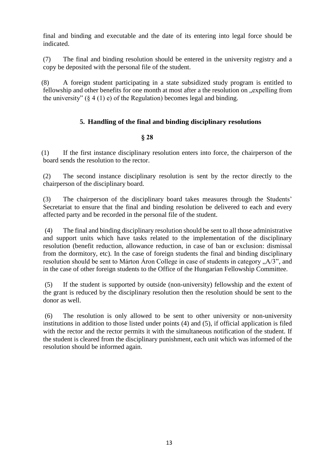final and binding and executable and the date of its entering into legal force should be indicated.

(7) The final and binding resolution should be entered in the university registry and a copy be deposited with the personal file of the student.

(8) A foreign student participating in a state subsidized study program is entitled to fellowship and other benefits for one month at most after a the resolution on "expelling from the university"  $(\S 4 (1) e)$  of the Regulation) becomes legal and binding.

# **5. Handling of the final and binding disciplinary resolutions**

## **§ 28**

(1) If the first instance disciplinary resolution enters into force, the chairperson of the board sends the resolution to the rector.

(2) The second instance disciplinary resolution is sent by the rector directly to the chairperson of the disciplinary board.

(3) The chairperson of the disciplinary board takes measures through the Students' Secretariat to ensure that the final and binding resolution be delivered to each and every affected party and be recorded in the personal file of the student.

(4) The final and binding disciplinary resolution should be sent to all those administrative and support units which have tasks related to the implementation of the disciplinary resolution (benefit reduction, allowance reduction, in case of ban or exclusion: dismissal from the dormitory, etc). In the case of foreign students the final and binding disciplinary resolution should be sent to Márton Áron College in case of students in category  $, A/3$ ", and in the case of other foreign students to the Office of the Hungarian Fellowship Committee.

(5) If the student is supported by outside (non-university) fellowship and the extent of the grant is reduced by the disciplinary resolution then the resolution should be sent to the donor as well.

(6) The resolution is only allowed to be sent to other university or non-university institutions in addition to those listed under points (4) and (5), if official application is filed with the rector and the rector permits it with the simultaneous notification of the student. If the student is cleared from the disciplinary punishment, each unit which was informed of the resolution should be informed again.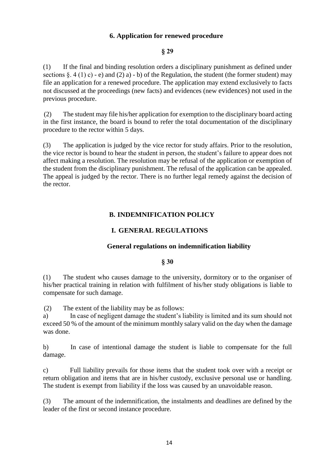# **6. Application for renewed procedure**

# **§ 29**

(1) If the final and binding resolution orders a disciplinary punishment as defined under sections  $\S. 4(1)$  c) - e) and (2) a) - b) of the Regulation, the student (the former student) may file an application for a renewed procedure. The application may extend exclusively to facts not discussed at the proceedings (new facts) and evidences (new evidences) not used in the previous procedure.

(2) The student may file his/her application for exemption to the disciplinary board acting in the first instance, the board is bound to refer the total documentation of the disciplinary procedure to the rector within 5 days.

(3) The application is judged by the vice rector for study affairs. Prior to the resolution, the vice rector is bound to hear the student in person, the student's failure to appear does not affect making a resolution. The resolution may be refusal of the application or exemption of the student from the disciplinary punishment. The refusal of the application can be appealed. The appeal is judged by the rector. There is no further legal remedy against the decision of the rector.

# **B. INDEMNIFICATION POLICY**

# **I. GENERAL REGULATIONS**

# **General regulations on indemnification liability**

#### **§ 30**

(1) The student who causes damage to the university, dormitory or to the organiser of his/her practical training in relation with fulfilment of his/her study obligations is liable to compensate for such damage.

(2) The extent of the liability may be as follows:

a) In case of negligent damage the student's liability is limited and its sum should not exceed 50 % of the amount of the minimum monthly salary valid on the day when the damage was done.

b) In case of intentional damage the student is liable to compensate for the full damage.

c) Full liability prevails for those items that the student took over with a receipt or return obligation and items that are in his/her custody, exclusive personal use or handling. The student is exempt from liability if the loss was caused by an unavoidable reason.

(3) The amount of the indemnification, the instalments and deadlines are defined by the leader of the first or second instance procedure.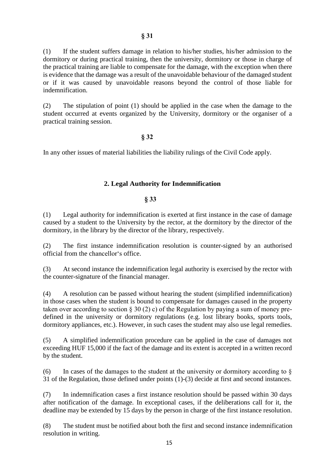(1) If the student suffers damage in relation to his/her studies, his/her admission to the dormitory or during practical training, then the university, dormitory or those in charge of the practical training are liable to compensate for the damage, with the exception when there is evidence that the damage was a result of the unavoidable behaviour of the damaged student or if it was caused by unavoidable reasons beyond the control of those liable for indemnification.

(2) The stipulation of point (1) should be applied in the case when the damage to the student occurred at events organized by the University, dormitory or the organiser of a practical training session.

#### **§ 32**

In any other issues of material liabilities the liability rulings of the Civil Code apply.

## **2. Legal Authority for Indemnification**

#### **§ 33**

(1) Legal authority for indemnification is exerted at first instance in the case of damage caused by a student to the University by the rector, at the dormitory by the director of the dormitory, in the library by the director of the library, respectively.

(2) The first instance indemnification resolution is counter-signed by an authorised official from the chancellor's office.

(3) At second instance the indemnification legal authority is exercised by the rector with the counter-signature of the financial manager.

(4) A resolution can be passed without hearing the student (simplified indemnification) in those cases when the student is bound to compensate for damages caused in the property taken over according to section § 30 (2) c) of the Regulation by paying a sum of money predefined in the university or dormitory regulations (e.g. lost library books, sports tools, dormitory appliances, etc.). However, in such cases the student may also use legal remedies.

(5) A simplified indemnification procedure can be applied in the case of damages not exceeding HUF 15,000 if the fact of the damage and its extent is accepted in a written record by the student.

(6) In cases of the damages to the student at the university or dormitory according to  $\S$ 31 of the Regulation, those defined under points (1)-(3) decide at first and second instances.

(7) In indemnification cases a first instance resolution should be passed within 30 days after notification of the damage. In exceptional cases, if the deliberations call for it, the deadline may be extended by 15 days by the person in charge of the first instance resolution.

(8) The student must be notified about both the first and second instance indemnification resolution in writing.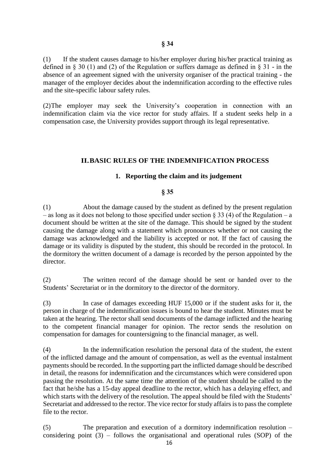(1) If the student causes damage to his/her employer during his/her practical training as defined in § 30 (1) and (2) of the Regulation or suffers damage as defined in § 31 - in the absence of an agreement signed with the university organiser of the practical training - the manager of the employer decides about the indemnification according to the effective rules and the site-specific labour safety rules.

(2)The employer may seek the University's cooperation in connection with an indemnification claim via the vice rector for study affairs. If a student seeks help in a compensation case, the University provides support through its legal representative.

#### **II.BASIC RULES OF THE INDEMNIFICATION PROCESS**

#### **1. Reporting the claim and its judgement**

#### **§ 35**

(1) About the damage caused by the student as defined by the present regulation – as long as it does not belong to those specified under section § 33 (4) of the Regulation – a document should be written at the site of the damage. This should be signed by the student causing the damage along with a statement which pronounces whether or not causing the damage was acknowledged and the liability is accepted or not. If the fact of causing the damage or its validity is disputed by the student, this should be recorded in the protocol. In the dormitory the written document of a damage is recorded by the person appointed by the director.

(2) The written record of the damage should be sent or handed over to the Students' Secretariat or in the dormitory to the director of the dormitory.

(3) In case of damages exceeding HUF 15,000 or if the student asks for it, the person in charge of the indemnification issues is bound to hear the student. Minutes must be taken at the hearing. The rector shall send documents of the damage inflicted and the hearing to the competent financial manager for opinion. The rector sends the resolution on compensation for damages for countersigning to the financial manager, as well.

(4) In the indemnification resolution the personal data of the student, the extent of the inflicted damage and the amount of compensation, as well as the eventual instalment payments should be recorded. In the supporting part the inflicted damage should be described in detail, the reasons for indemnification and the circumstances which were considered upon passing the resolution. At the same time the attention of the student should be called to the fact that he/she has a 15-day appeal deadline to the rector, which has a delaying effect, and which starts with the delivery of the resolution. The appeal should be filed with the Students' Secretariat and addressed to the rector. The vice rector for study affairs is to pass the complete file to the rector.

(5) The preparation and execution of a dormitory indemnification resolution – considering point  $(3)$  – follows the organisational and operational rules (SOP) of the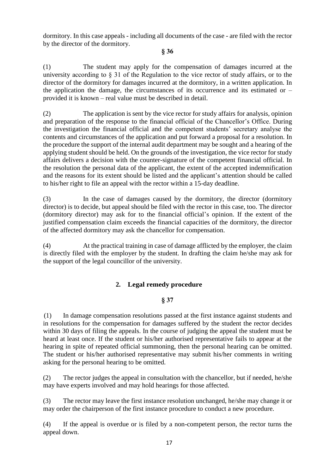dormitory. In this case appeals - including all documents of the case - are filed with the rector by the director of the dormitory.

# **§ 36**

(1) The student may apply for the compensation of damages incurred at the university according to § 31 of the Regulation to the vice rector of study affairs, or to the director of the dormitory for damages incurred at the dormitory, in a written application. In the application the damage, the circumstances of its occurrence and its estimated or – provided it is known – real value must be described in detail.

(2) The application is sent by the vice rector for study affairs for analysis, opinion and preparation of the response to the financial official of the Chancellor's Office. During the investigation the financial official and the competent students' secretary analyse the contents and circumstances of the application and put forward a proposal for a resolution. In the procedure the support of the internal audit department may be sought and a hearing of the applying student should be held. On the grounds of the investigation, the vice rector for study affairs delivers a decision with the counter-signature of the competent financial official. In the resolution the personal data of the applicant, the extent of the accepted indemnification and the reasons for its extent should be listed and the applicant's attention should be called to his/her right to file an appeal with the rector within a 15-day deadline.

(3) In the case of damages caused by the dormitory, the director (dormitory director) is to decide, but appeal should be filed with the rector in this case, too. The director (dormitory director) may ask for to the financial official's opinion. If the extent of the justified compensation claim exceeds the financial capacities of the dormitory, the director of the affected dormitory may ask the chancellor for compensation.

(4) At the practical training in case of damage afflicted by the employer, the claim is directly filed with the employer by the student. In drafting the claim he/she may ask for the support of the legal councillor of the university.

# **2. Legal remedy procedure**

# **§ 37**

(1) In damage compensation resolutions passed at the first instance against students and in resolutions for the compensation for damages suffered by the student the rector decides within 30 days of filing the appeals. In the course of judging the appeal the student must be heard at least once. If the student or his/her authorised representative fails to appear at the hearing in spite of repeated official summoning, then the personal hearing can be omitted. The student or his/her authorised representative may submit his/her comments in writing asking for the personal hearing to be omitted.

(2) The rector judges the appeal in consultation with the chancellor, but if needed, he/she may have experts involved and may hold hearings for those affected.

(3) The rector may leave the first instance resolution unchanged, he/she may change it or may order the chairperson of the first instance procedure to conduct a new procedure.

(4) If the appeal is overdue or is filed by a non-competent person, the rector turns the appeal down.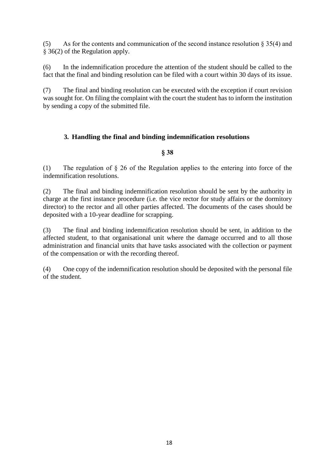(5) As for the contents and communication of the second instance resolution  $\S 35(4)$  and § 36(2) of the Regulation apply.

(6) In the indemnification procedure the attention of the student should be called to the fact that the final and binding resolution can be filed with a court within 30 days of its issue.

(7) The final and binding resolution can be executed with the exception if court revision was sought for. On filing the complaint with the court the student has to inform the institution by sending a copy of the submitted file.

# **3. Handling the final and binding indemnification resolutions**

## **§ 38**

(1) The regulation of § 26 of the Regulation applies to the entering into force of the indemnification resolutions.

(2) The final and binding indemnification resolution should be sent by the authority in charge at the first instance procedure (i.e. the vice rector for study affairs or the dormitory director) to the rector and all other parties affected. The documents of the cases should be deposited with a 10-year deadline for scrapping.

(3) The final and binding indemnification resolution should be sent, in addition to the affected student, to that organisational unit where the damage occurred and to all those administration and financial units that have tasks associated with the collection or payment of the compensation or with the recording thereof.

(4) One copy of the indemnification resolution should be deposited with the personal file of the student.